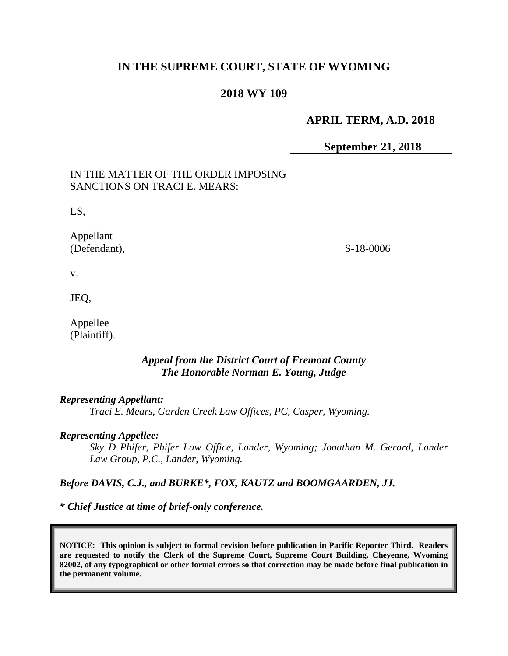# **IN THE SUPREME COURT, STATE OF WYOMING**

### **2018 WY 109**

# **APRIL TERM, A.D. 2018**

### **September 21, 2018**

| IN THE MATTER OF THE ORDER IMPOSING<br><b>SANCTIONS ON TRACI E. MEARS:</b> |           |
|----------------------------------------------------------------------------|-----------|
| LS,                                                                        |           |
| Appellant<br>(Defendant),                                                  | S-18-0006 |
| V.                                                                         |           |
| JEQ,                                                                       |           |
| Appellee<br>(Plaintiff).                                                   |           |

# *Appeal from the District Court of Fremont County The Honorable Norman E. Young, Judge*

#### *Representing Appellant:*

*Traci E. Mears, Garden Creek Law Offices, PC, Casper, Wyoming.*

#### *Representing Appellee:*

*Sky D Phifer, Phifer Law Office, Lander, Wyoming; Jonathan M. Gerard, Lander Law Group, P.C., Lander, Wyoming.*

### *Before DAVIS, C.J., and BURKE\*, FOX, KAUTZ and BOOMGAARDEN, JJ.*

*\* Chief Justice at time of brief-only conference.*

**NOTICE: This opinion is subject to formal revision before publication in Pacific Reporter Third. Readers are requested to notify the Clerk of the Supreme Court, Supreme Court Building, Cheyenne, Wyoming 82002, of any typographical or other formal errors so that correction may be made before final publication in the permanent volume.**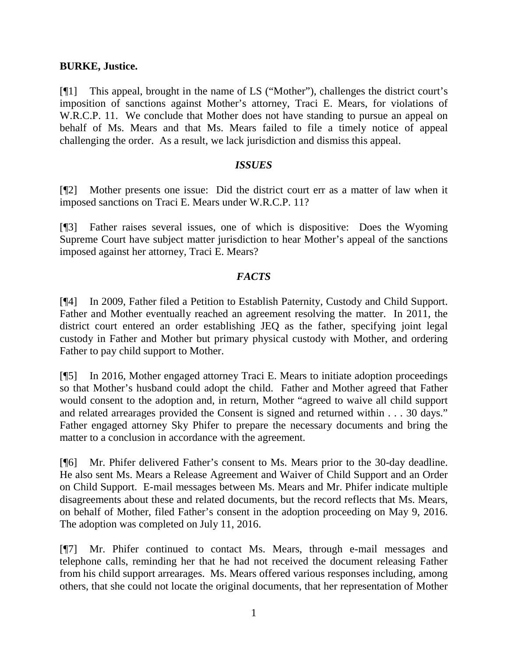### **BURKE, Justice.**

[¶1] This appeal, brought in the name of LS ("Mother"), challenges the district court's imposition of sanctions against Mother's attorney, Traci E. Mears, for violations of W.R.C.P. 11. We conclude that Mother does not have standing to pursue an appeal on behalf of Ms. Mears and that Ms. Mears failed to file a timely notice of appeal challenging the order. As a result, we lack jurisdiction and dismiss this appeal.

### *ISSUES*

[¶2] Mother presents one issue: Did the district court err as a matter of law when it imposed sanctions on Traci E. Mears under W.R.C.P. 11?

[¶3] Father raises several issues, one of which is dispositive: Does the Wyoming Supreme Court have subject matter jurisdiction to hear Mother's appeal of the sanctions imposed against her attorney, Traci E. Mears?

# *FACTS*

[¶4] In 2009, Father filed a Petition to Establish Paternity, Custody and Child Support. Father and Mother eventually reached an agreement resolving the matter. In 2011, the district court entered an order establishing JEQ as the father, specifying joint legal custody in Father and Mother but primary physical custody with Mother, and ordering Father to pay child support to Mother.

[¶5] In 2016, Mother engaged attorney Traci E. Mears to initiate adoption proceedings so that Mother's husband could adopt the child. Father and Mother agreed that Father would consent to the adoption and, in return, Mother "agreed to waive all child support and related arrearages provided the Consent is signed and returned within . . . 30 days." Father engaged attorney Sky Phifer to prepare the necessary documents and bring the matter to a conclusion in accordance with the agreement.

[¶6] Mr. Phifer delivered Father's consent to Ms. Mears prior to the 30-day deadline. He also sent Ms. Mears a Release Agreement and Waiver of Child Support and an Order on Child Support. E-mail messages between Ms. Mears and Mr. Phifer indicate multiple disagreements about these and related documents, but the record reflects that Ms. Mears, on behalf of Mother, filed Father's consent in the adoption proceeding on May 9, 2016. The adoption was completed on July 11, 2016.

[¶7] Mr. Phifer continued to contact Ms. Mears, through e-mail messages and telephone calls, reminding her that he had not received the document releasing Father from his child support arrearages. Ms. Mears offered various responses including, among others, that she could not locate the original documents, that her representation of Mother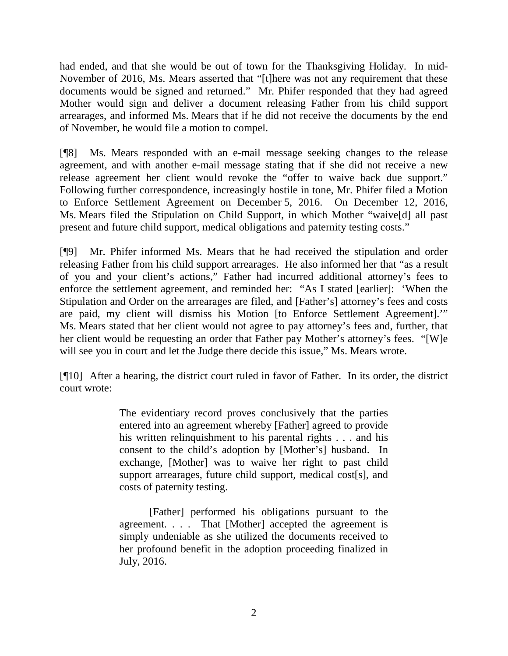had ended, and that she would be out of town for the Thanksgiving Holiday. In mid-November of 2016, Ms. Mears asserted that "[t]here was not any requirement that these documents would be signed and returned." Mr. Phifer responded that they had agreed Mother would sign and deliver a document releasing Father from his child support arrearages, and informed Ms. Mears that if he did not receive the documents by the end of November, he would file a motion to compel.

[¶8] Ms. Mears responded with an e-mail message seeking changes to the release agreement, and with another e-mail message stating that if she did not receive a new release agreement her client would revoke the "offer to waive back due support." Following further correspondence, increasingly hostile in tone, Mr. Phifer filed a Motion to Enforce Settlement Agreement on December 5, 2016. On December 12, 2016, Ms. Mears filed the Stipulation on Child Support, in which Mother "waive[d] all past present and future child support, medical obligations and paternity testing costs."

[¶9] Mr. Phifer informed Ms. Mears that he had received the stipulation and order releasing Father from his child support arrearages. He also informed her that "as a result of you and your client's actions," Father had incurred additional attorney's fees to enforce the settlement agreement, and reminded her: "As I stated [earlier]: 'When the Stipulation and Order on the arrearages are filed, and [Father's] attorney's fees and costs are paid, my client will dismiss his Motion [to Enforce Settlement Agreement].'" Ms. Mears stated that her client would not agree to pay attorney's fees and, further, that her client would be requesting an order that Father pay Mother's attorney's fees. "[W]e will see you in court and let the Judge there decide this issue," Ms. Mears wrote.

[¶10] After a hearing, the district court ruled in favor of Father. In its order, the district court wrote:

> The evidentiary record proves conclusively that the parties entered into an agreement whereby [Father] agreed to provide his written relinquishment to his parental rights . . . and his consent to the child's adoption by [Mother's] husband. In exchange, [Mother] was to waive her right to past child support arrearages, future child support, medical cost[s], and costs of paternity testing.

> [Father] performed his obligations pursuant to the agreement. . . . That [Mother] accepted the agreement is simply undeniable as she utilized the documents received to her profound benefit in the adoption proceeding finalized in July, 2016.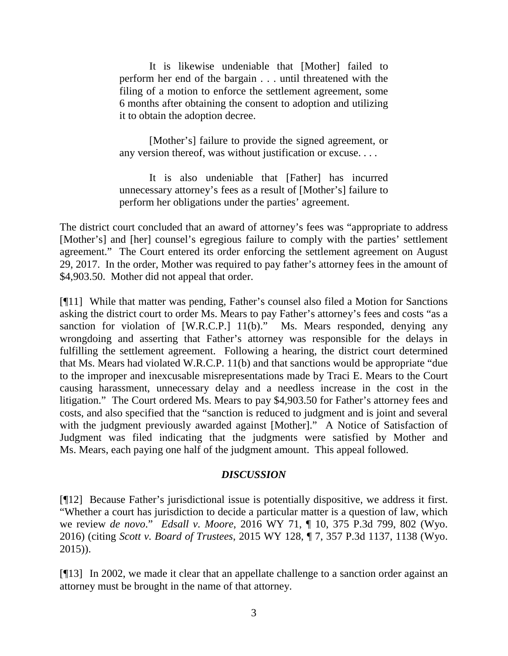It is likewise undeniable that [Mother] failed to perform her end of the bargain . . . until threatened with the filing of a motion to enforce the settlement agreement, some 6 months after obtaining the consent to adoption and utilizing it to obtain the adoption decree.

[Mother's] failure to provide the signed agreement, or any version thereof, was without justification or excuse. . . .

It is also undeniable that [Father] has incurred unnecessary attorney's fees as a result of [Mother's] failure to perform her obligations under the parties' agreement.

The district court concluded that an award of attorney's fees was "appropriate to address [Mother's] and [her] counsel's egregious failure to comply with the parties' settlement agreement." The Court entered its order enforcing the settlement agreement on August 29, 2017. In the order, Mother was required to pay father's attorney fees in the amount of \$4,903.50. Mother did not appeal that order.

[¶11] While that matter was pending, Father's counsel also filed a Motion for Sanctions asking the district court to order Ms. Mears to pay Father's attorney's fees and costs "as a sanction for violation of [W.R.C.P.] 11(b)." Ms. Mears responded, denying any wrongdoing and asserting that Father's attorney was responsible for the delays in fulfilling the settlement agreement. Following a hearing, the district court determined that Ms. Mears had violated W.R.C.P. 11(b) and that sanctions would be appropriate "due to the improper and inexcusable misrepresentations made by Traci E. Mears to the Court causing harassment, unnecessary delay and a needless increase in the cost in the litigation." The Court ordered Ms. Mears to pay \$4,903.50 for Father's attorney fees and costs, and also specified that the "sanction is reduced to judgment and is joint and several with the judgment previously awarded against [Mother]." A Notice of Satisfaction of Judgment was filed indicating that the judgments were satisfied by Mother and Ms. Mears, each paying one half of the judgment amount. This appeal followed.

# *DISCUSSION*

[¶12] Because Father's jurisdictional issue is potentially dispositive, we address it first. "Whether a court has jurisdiction to decide a particular matter is a question of law, which we review *de novo*." *Edsall v. Moore*, 2016 WY 71, ¶ 10, 375 P.3d 799, 802 (Wyo. 2016) (citing *Scott v. Board of Trustees*, 2015 WY 128, ¶ 7, 357 P.3d 1137, 1138 (Wyo. 2015)).

[¶13] In 2002, we made it clear that an appellate challenge to a sanction order against an attorney must be brought in the name of that attorney.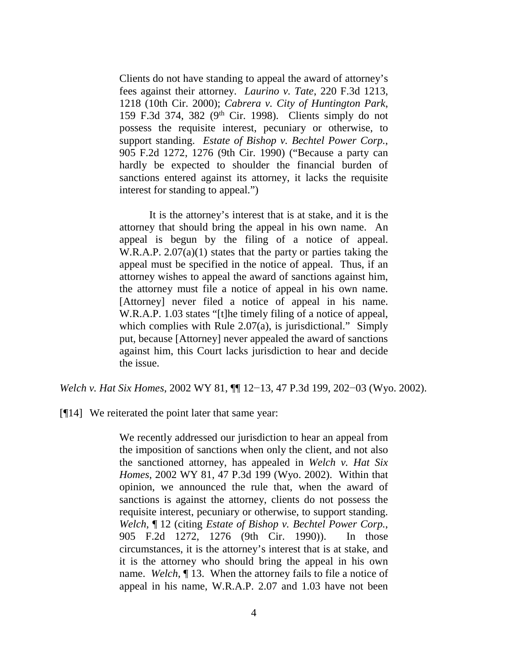Clients do not have standing to appeal the award of attorney's fees against their attorney. *Laurino v. Tate*, 220 F.3d 1213, 1218 (10th Cir. 2000); *Cabrera v. City of Huntington Park*, 159 F.3d 374, 382 (9th Cir. 1998). Clients simply do not possess the requisite interest, pecuniary or otherwise, to support standing. *Estate of Bishop v. Bechtel Power Corp.*, 905 F.2d 1272, 1276 (9th Cir. 1990) ("Because a party can hardly be expected to shoulder the financial burden of sanctions entered against its attorney, it lacks the requisite interest for standing to appeal.")

It is the attorney's interest that is at stake, and it is the attorney that should bring the appeal in his own name. An appeal is begun by the filing of a notice of appeal. W.R.A.P. 2.07(a)(1) states that the party or parties taking the appeal must be specified in the notice of appeal. Thus, if an attorney wishes to appeal the award of sanctions against him, the attorney must file a notice of appeal in his own name. [Attorney] never filed a notice of appeal in his name. W.R.A.P. 1.03 states "[t]he timely filing of a notice of appeal, which complies with Rule  $2.07(a)$ , is jurisdictional." Simply put, because [Attorney] never appealed the award of sanctions against him, this Court lacks jurisdiction to hear and decide the issue.

*Welch v. Hat Six Homes*, 2002 WY 81, ¶¶ 12−13, 47 P.3d 199, 202−03 (Wyo. 2002).

[¶14] We reiterated the point later that same year:

We recently addressed our jurisdiction to hear an appeal from the imposition of sanctions when only the client, and not also the sanctioned attorney, has appealed in *Welch v. Hat Six Homes*, 2002 WY 81, 47 P.3d 199 (Wyo. 2002). Within that opinion, we announced the rule that, when the award of sanctions is against the attorney, clients do not possess the requisite interest, pecuniary or otherwise, to support standing. *Welch*, ¶ 12 (citing *Estate of Bishop v. Bechtel Power Corp.*, 905 F.2d 1272, 1276 (9th Cir. 1990)). In those circumstances, it is the attorney's interest that is at stake, and it is the attorney who should bring the appeal in his own name. *Welch*, ¶ 13. When the attorney fails to file a notice of appeal in his name, W.R.A.P. 2.07 and 1.03 have not been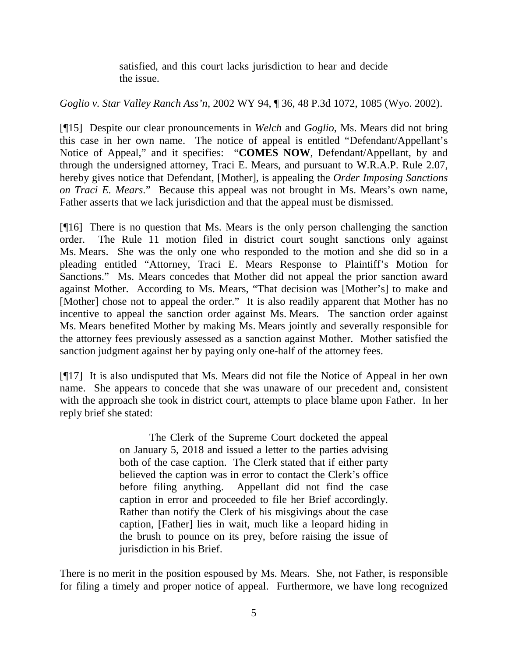satisfied, and this court lacks jurisdiction to hear and decide the issue.

# *Goglio v. Star Valley Ranch Ass'n*, 2002 WY 94, ¶ 36, 48 P.3d 1072, 1085 (Wyo. 2002).

[¶15] Despite our clear pronouncements in *Welch* and *Goglio*, Ms. Mears did not bring this case in her own name. The notice of appeal is entitled "Defendant/Appellant's Notice of Appeal," and it specifies: "**COMES NOW**, Defendant/Appellant, by and through the undersigned attorney, Traci E. Mears, and pursuant to W.R.A.P. Rule 2.07, hereby gives notice that Defendant, [Mother], is appealing the *Order Imposing Sanctions on Traci E. Mears*." Because this appeal was not brought in Ms. Mears's own name, Father asserts that we lack jurisdiction and that the appeal must be dismissed.

[¶16] There is no question that Ms. Mears is the only person challenging the sanction order. The Rule 11 motion filed in district court sought sanctions only against Ms. Mears. She was the only one who responded to the motion and she did so in a pleading entitled "Attorney, Traci E. Mears Response to Plaintiff's Motion for Sanctions." Ms. Mears concedes that Mother did not appeal the prior sanction award against Mother. According to Ms. Mears, "That decision was [Mother's] to make and [Mother] chose not to appeal the order." It is also readily apparent that Mother has no incentive to appeal the sanction order against Ms. Mears. The sanction order against Ms. Mears benefited Mother by making Ms. Mears jointly and severally responsible for the attorney fees previously assessed as a sanction against Mother. Mother satisfied the sanction judgment against her by paying only one-half of the attorney fees.

[¶17] It is also undisputed that Ms. Mears did not file the Notice of Appeal in her own name. She appears to concede that she was unaware of our precedent and, consistent with the approach she took in district court, attempts to place blame upon Father. In her reply brief she stated:

> The Clerk of the Supreme Court docketed the appeal on January 5, 2018 and issued a letter to the parties advising both of the case caption. The Clerk stated that if either party believed the caption was in error to contact the Clerk's office before filing anything. Appellant did not find the case caption in error and proceeded to file her Brief accordingly. Rather than notify the Clerk of his misgivings about the case caption, [Father] lies in wait, much like a leopard hiding in the brush to pounce on its prey, before raising the issue of jurisdiction in his Brief.

There is no merit in the position espoused by Ms. Mears. She, not Father, is responsible for filing a timely and proper notice of appeal. Furthermore, we have long recognized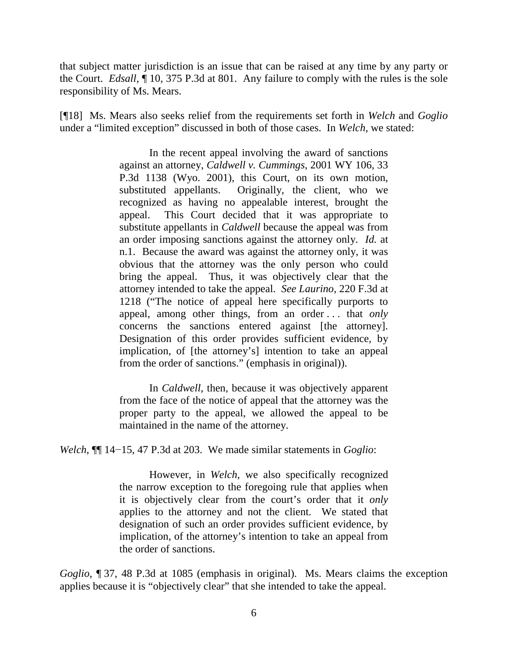that subject matter jurisdiction is an issue that can be raised at any time by any party or the Court. *Edsall*, ¶ 10, 375 P.3d at 801. Any failure to comply with the rules is the sole responsibility of Ms. Mears.

[¶18] Ms. Mears also seeks relief from the requirements set forth in *Welch* and *Goglio* under a "limited exception" discussed in both of those cases. In *Welch*, we stated:

> In the recent appeal involving the award of sanctions against an attorney, *Caldwell v. Cummings*, 2001 WY 106, 33 P.3d 1138 (Wyo. 2001), this Court, on its own motion, substituted appellants. Originally, the client, who we recognized as having no appealable interest, brought the appeal. This Court decided that it was appropriate to substitute appellants in *Caldwell* because the appeal was from an order imposing sanctions against the attorney only. *Id.* at n.1. Because the award was against the attorney only, it was obvious that the attorney was the only person who could bring the appeal. Thus, it was objectively clear that the attorney intended to take the appeal. *See Laurino*, 220 F.3d at 1218 ("The notice of appeal here specifically purports to appeal, among other things, from an order . . . that *only* concerns the sanctions entered against [the attorney]. Designation of this order provides sufficient evidence, by implication, of [the attorney's] intention to take an appeal from the order of sanctions." (emphasis in original)).

In *Caldwell*, then, because it was objectively apparent from the face of the notice of appeal that the attorney was the proper party to the appeal, we allowed the appeal to be maintained in the name of the attorney.

*Welch*, ¶¶ 14−15, 47 P.3d at 203. We made similar statements in *Goglio*:

However, in *Welch*, we also specifically recognized the narrow exception to the foregoing rule that applies when it is objectively clear from the court's order that it *only* applies to the attorney and not the client. We stated that designation of such an order provides sufficient evidence, by implication, of the attorney's intention to take an appeal from the order of sanctions.

*Goglio*, ¶ 37, 48 P.3d at 1085 (emphasis in original). Ms. Mears claims the exception applies because it is "objectively clear" that she intended to take the appeal.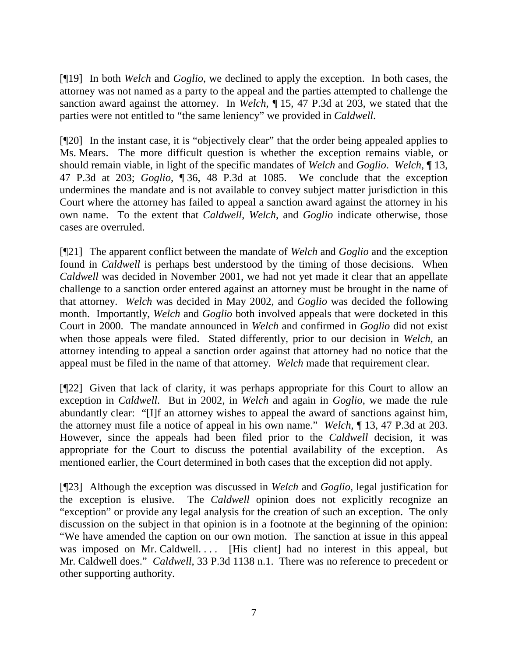[¶19] In both *Welch* and *Goglio*, we declined to apply the exception. In both cases, the attorney was not named as a party to the appeal and the parties attempted to challenge the sanction award against the attorney. In *Welch*, ¶ 15, 47 P.3d at 203, we stated that the parties were not entitled to "the same leniency" we provided in *Caldwell*.

[¶20] In the instant case, it is "objectively clear" that the order being appealed applies to Ms. Mears. The more difficult question is whether the exception remains viable, or should remain viable, in light of the specific mandates of *Welch* and *Goglio*. *Welch*, ¶ 13, 47 P.3d at 203; *Goglio*, ¶ 36, 48 P.3d at 1085. We conclude that the exception undermines the mandate and is not available to convey subject matter jurisdiction in this Court where the attorney has failed to appeal a sanction award against the attorney in his own name. To the extent that *Caldwell*, *Welch*, and *Goglio* indicate otherwise, those cases are overruled.

[¶21] The apparent conflict between the mandate of *Welch* and *Goglio* and the exception found in *Caldwell* is perhaps best understood by the timing of those decisions. When *Caldwell* was decided in November 2001, we had not yet made it clear that an appellate challenge to a sanction order entered against an attorney must be brought in the name of that attorney. *Welch* was decided in May 2002, and *Goglio* was decided the following month. Importantly, *Welch* and *Goglio* both involved appeals that were docketed in this Court in 2000. The mandate announced in *Welch* and confirmed in *Goglio* did not exist when those appeals were filed. Stated differently, prior to our decision in *Welch*, an attorney intending to appeal a sanction order against that attorney had no notice that the appeal must be filed in the name of that attorney. *Welch* made that requirement clear.

[¶22] Given that lack of clarity, it was perhaps appropriate for this Court to allow an exception in *Caldwell*. But in 2002, in *Welch* and again in *Goglio*, we made the rule abundantly clear: "[I]f an attorney wishes to appeal the award of sanctions against him, the attorney must file a notice of appeal in his own name." *Welch*, ¶ 13, 47 P.3d at 203. However, since the appeals had been filed prior to the *Caldwell* decision, it was appropriate for the Court to discuss the potential availability of the exception. As mentioned earlier, the Court determined in both cases that the exception did not apply.

[¶23] Although the exception was discussed in *Welch* and *Goglio*, legal justification for the exception is elusive. The *Caldwell* opinion does not explicitly recognize an "exception" or provide any legal analysis for the creation of such an exception. The only discussion on the subject in that opinion is in a footnote at the beginning of the opinion: "We have amended the caption on our own motion. The sanction at issue in this appeal was imposed on Mr. Caldwell. . . . [His client] had no interest in this appeal, but Mr. Caldwell does." *Caldwell*, 33 P.3d 1138 n.1. There was no reference to precedent or other supporting authority.